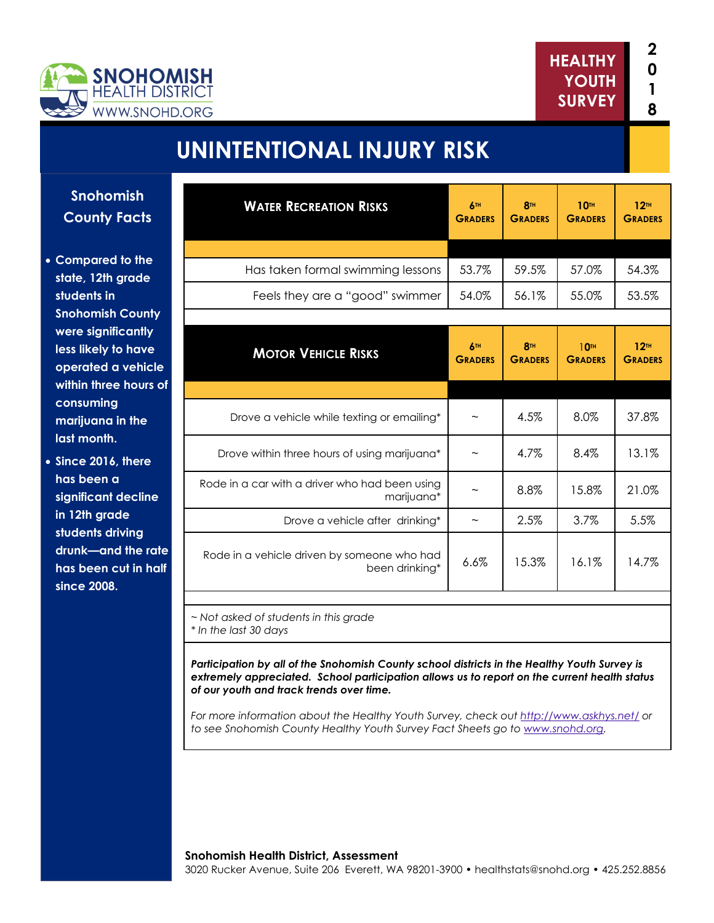

# **UNINTENTIONAL INJURY RISK**

**Snohomish County Facts** 

- **Compared to the state, 12th grade students in Snohomish County were significantly less likely to have operated a vehicle within three hours of consuming marijuana in the last month.**
- **Since 2016, there has been a significant decline in 12th grade students driving drunk—and the rate has been cut in half since 2008.**

| <b>WATER RECREATION RISKS</b>                                  | 6TH<br><b>GRADERS</b>        | <b>8TH</b><br><b>GRADERS</b> | <b>10TH</b><br><b>GRADERS</b>      | 12 <sup>TH</sup><br><b>GRADERS</b> |
|----------------------------------------------------------------|------------------------------|------------------------------|------------------------------------|------------------------------------|
|                                                                |                              |                              |                                    |                                    |
| Has taken formal swimming lessons                              | 53.7%                        | 59.5%                        | 57.0%                              | 54.3%                              |
| Feels they are a "good" swimmer                                | 54.0%                        | 56.1%                        | 55.0%                              | 53.5%                              |
|                                                                |                              |                              |                                    |                                    |
| <b>MOTOR VEHICLE RISKS</b>                                     | <b>6TH</b><br><b>GRADERS</b> | <b>8TH</b><br><b>GRADERS</b> | 10 <sup>th</sup><br><b>GRADERS</b> | 12 <sup>TH</sup><br><b>GRADERS</b> |
|                                                                |                              |                              |                                    |                                    |
| Drove a vehicle while texting or emailing*                     |                              | 4.5%                         | 8.0%                               | 37.8%                              |
| Drove within three hours of using marijuana*                   |                              | 4.7%                         | 8.4%                               | 13.1%                              |
| Rode in a car with a driver who had been using<br>marijuana*   |                              | 8.8%                         | 15.8%                              | 21.0%                              |
| Drove a vehicle after drinking*                                | $\tilde{}$                   | 2.5%                         | 3.7%                               | 5.5%                               |
| Rode in a vehicle driven by someone who had<br>been drinking*  | 6.6%                         | 15.3%                        | 16.1%                              | 14.7%                              |
|                                                                |                              |                              |                                    |                                    |
| ~ Not asked of students in this grade<br>* In the last 30 days |                              |                              |                                    |                                    |

*Participation by all of the Snohomish County school districts in the Healthy Youth Survey is extremely appreciated. School participation allows us to report on the current health status of our youth and track trends over time.* 

*For more information about the Healthy Youth Survey, check out http://www.askhys.net/ or to see Snohomish County Healthy Youth Survey Fact Sheets go to www.snohd.org.*